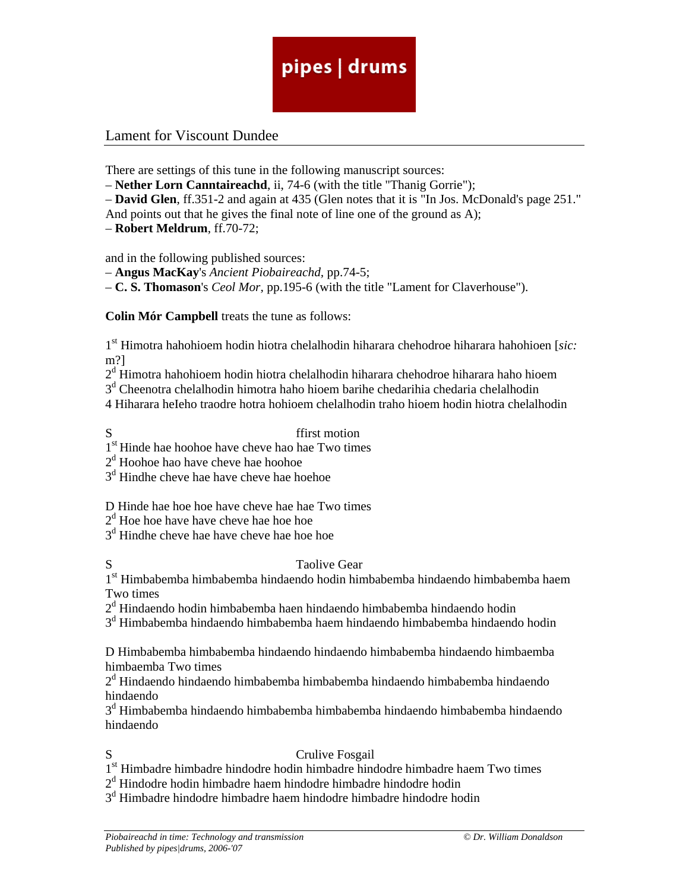### Lament for Viscount Dundee

There are settings of this tune in the following manuscript sources:

– **Nether Lorn Canntaireachd**, ii, 74-6 (with the title "Thanig Gorrie");

– **David Glen**, ff.351-2 and again at 435 (Glen notes that it is "In Jos. McDonald's page 251."

And points out that he gives the final note of line one of the ground as A);

– **Robert Meldrum**, ff.70-72;

and in the following published sources:

– **Angus MacKay**'s *Ancient Piobaireachd,* pp.74-5;

– **C. S. Thomason**'s *Ceol Mor,* pp.195-6 (with the title "Lament for Claverhouse").

**Colin Mór Campbell** treats the tune as follows:

1st Himotra hahohioem hodin hiotra chelalhodin hiharara chehodroe hiharara hahohioen [*sic:* m?]

 $2<sup>d</sup>$  Himotra hahohioem hodin hiotra chelalhodin hiharara chehodroe hiharara haho hioem

3<sup>d</sup> Cheenotra chelalhodin himotra haho hioem barihe chedarihia chedaria chelalhodin

4 Hiharara heIeho traodre hotra hohioem chelalhodin traho hioem hodin hiotra chelalhodin

S ffirst motion

1<sup>st</sup> Hinde hae hoohoe have cheve hao hae Two times

2<sup>d</sup> Hoohoe hao have cheve hae hoohoe

3d Hindhe cheve hae have cheve hae hoehoe

D Hinde hae hoe hoe have cheve hae hae Two times

 $2<sup>d</sup>$  Hoe hoe have have cheve hae hoe hoe

3<sup>d</sup> Hindhe cheve hae have cheve hae hoe hoe

### S Taolive Gear

1<sup>st</sup> Himbabemba himbabemba hindaendo hodin himbabemba hindaendo himbabemba haem Two times

 $2<sup>d</sup>$  Hindaendo hodin himbabemba haen hindaendo himbabemba hindaendo hodin

3<sup>d</sup> Himbabemba hindaendo himbabemba haem hindaendo himbabemba hindaendo hodin

D Himbabemba himbabemba hindaendo hindaendo himbabemba hindaendo himbaemba himbaemba Two times

 $2<sup>d</sup>$  Hindaendo hindaendo himbabemba himbabemba hindaendo himbabemba hindaendo hindaendo

 $3<sup>d</sup>$  Himbabemba hindaendo himbabemba himbabemba hindaendo himbabemba hindaendo hindaendo

### S Crulive Fosgail

1<sup>st</sup> Himbadre himbadre hindodre hodin himbadre hindodre himbadre haem Two times

2<sup>d</sup> Hindodre hodin himbadre haem hindodre himbadre hindodre hodin

3<sup>d</sup> Himbadre hindodre himbadre haem hindodre himbadre hindodre hodin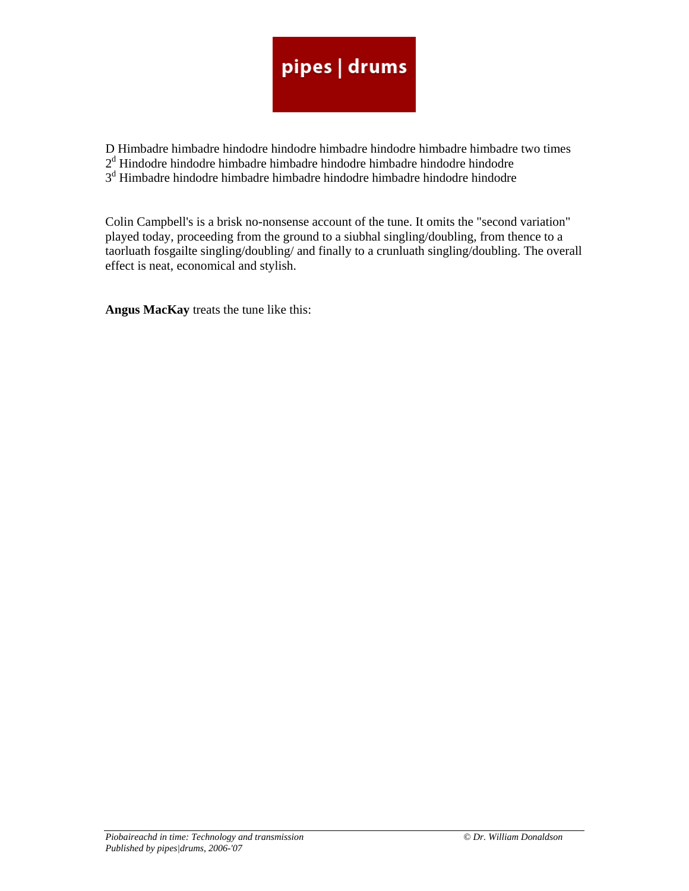D Himbadre himbadre hindodre hindodre himbadre hindodre himbadre himbadre two times

 $2<sup>d</sup>$  Hindodre hindodre himbadre hindodre hindodre hindodre hindodre hindodre

3<sup>d</sup> Himbadre hindodre himbadre himbadre hindodre himbadre hindodre hindodre

Colin Campbell's is a brisk no-nonsense account of the tune. It omits the "second variation" played today, proceeding from the ground to a siubhal singling/doubling, from thence to a taorluath fosgailte singling/doubling/ and finally to a crunluath singling/doubling. The overall effect is neat, economical and stylish.

**Angus MacKay** treats the tune like this: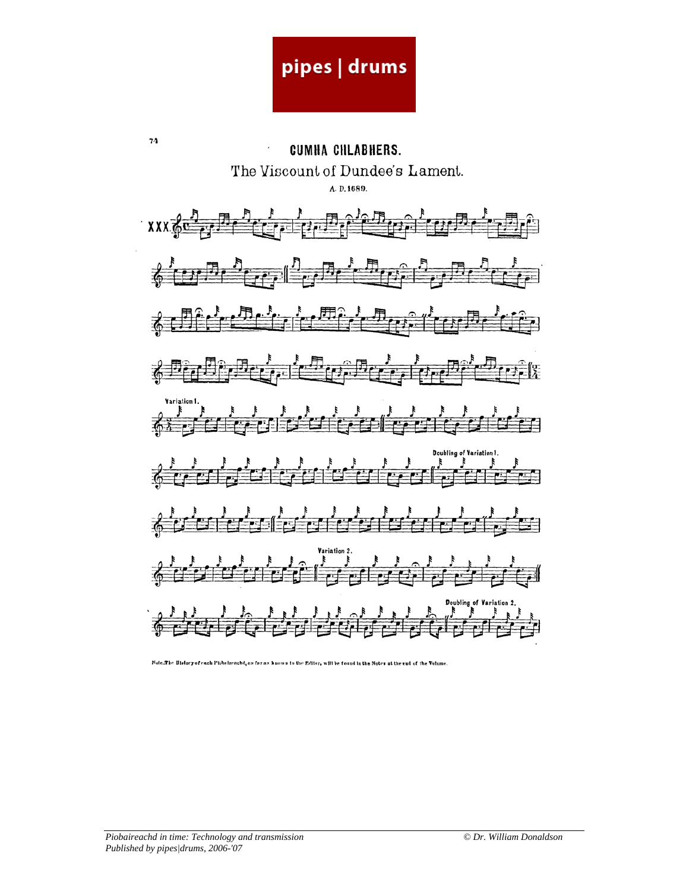74 CUMHA CIILABHERS. The Viscount of Dundee's Lament. A. D. 1689.  $XXX \oplus \bullet$  $\mathbb{R}$  of  $\mathbb{R}$  $\begin{array}{c} \mathbf{y} \\ \mathbf{y} \end{array}$  $\frac{1}{\sqrt{2}}\int_{0}^{1}\frac{1}{\sqrt{2}}\left|\frac{1}{\sqrt{2}}\right|^{2}$  $\frac{1}{2}$  $\frac{1}{6}$  $\mathbb{E}[f_{\text{eff}}]$  ,  $\mathbb{E}[f_{\text{eff}}]$  ,  $\mathbb{E}[f_{\text{eff}}]$  ,  $\mathbb{E}[f_{\text{eff}}]$  ,  $\mathbb{E}[f_{\text{eff}}]$  $\bar{z}$ र्वनी  $\frac{1}{2}$ 

Note.The Bistory of each Pichairenchd, as far as known to the Editor, will be found in the Notes at the end of the Volume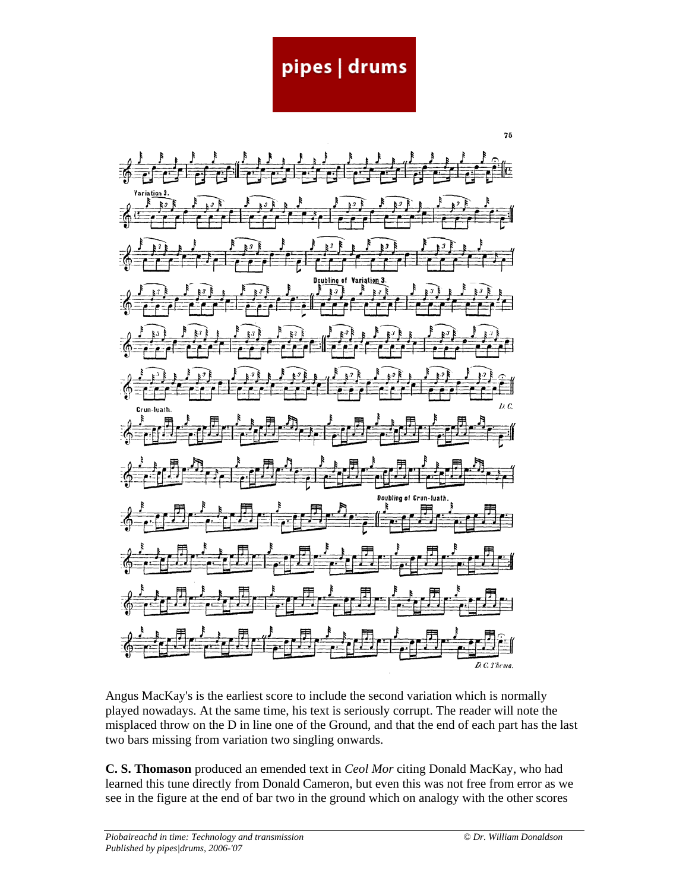Œ Doubling of iation 3  $D. C.$ Crun-luath **Doublin** D.C. Thema.

Angus MacKay's is the earliest score to include the second variation which is normally played nowadays. At the same time, his text is seriously corrupt. The reader will note the misplaced throw on the D in line one of the Ground, and that the end of each part has the last two bars missing from variation two singling onwards.

**C. S. Thomason** produced an emended text in *Ceol Mor* citing Donald MacKay, who had learned this tune directly from Donald Cameron, but even this was not free from error as we see in the figure at the end of bar two in the ground which on analogy with the other scores

 $75$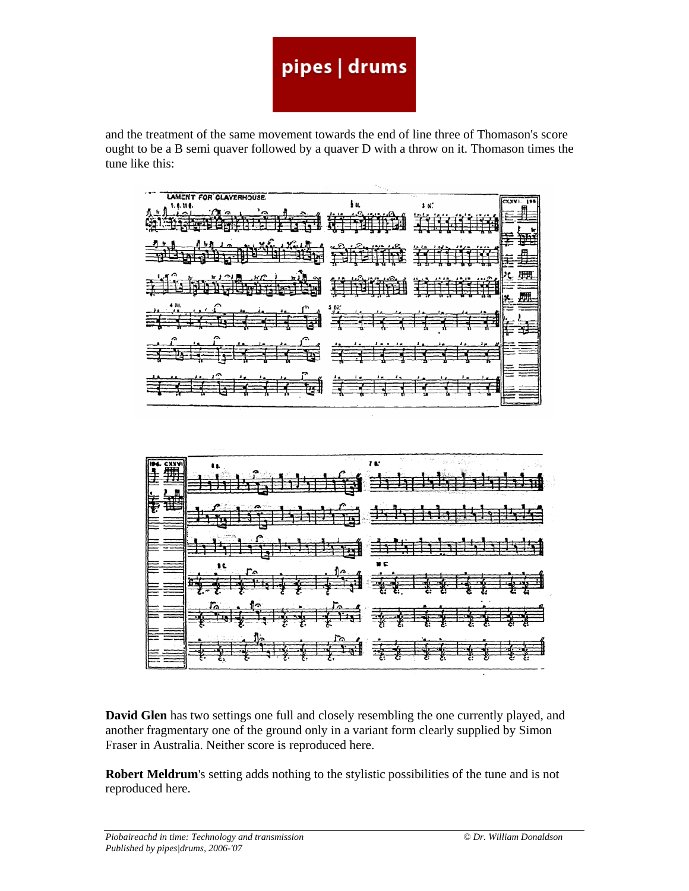and the treatment of the same movement towards the end of line three of Thomason's score ought to be a B semi quaver followed by a quaver D with a throw on it. Thomason times the tune like this:

$$
\frac{1}{2}
$$



**David Glen** has two settings one full and closely resembling the one currently played, and another fragmentary one of the ground only in a variant form clearly supplied by Simon Fraser in Australia. Neither score is reproduced here.

**Robert Meldrum**'s setting adds nothing to the stylistic possibilities of the tune and is not reproduced here.